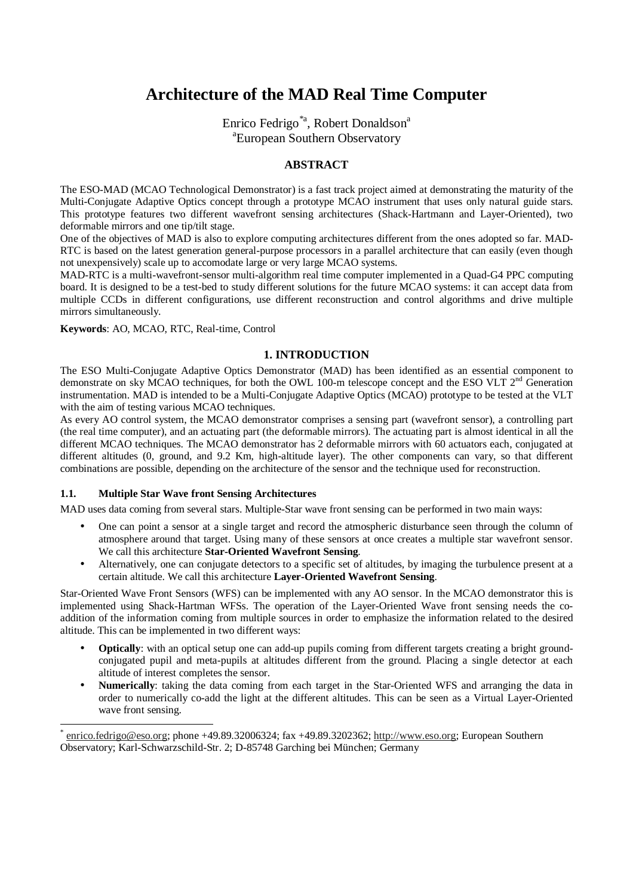# **Architecture of the MAD Real Time Computer**

Enrico Fedrigo<sup>\*a</sup>, Robert Donaldson<sup>a</sup> a European Southern Observatory

## **ABSTRACT**

The ESO-MAD (MCAO Technological Demonstrator) is a fast track project aimed at demonstrating the maturity of the Multi-Conjugate Adaptive Optics concept through a prototype MCAO instrument that uses only natural guide stars. This prototype features two different wavefront sensing architectures (Shack-Hartmann and Layer-Oriented), two deformable mirrors and one tip/tilt stage.

One of the objectives of MAD is also to explore computing architectures different from the ones adopted so far. MAD-RTC is based on the latest generation general-purpose processors in a parallel architecture that can easily (even though not unexpensively) scale up to accomodate large or very large MCAO systems.

MAD-RTC is a multi-wavefront-sensor multi-algorithm real time computer implemented in a Quad-G4 PPC computing board. It is designed to be a test-bed to study different solutions for the future MCAO systems: it can accept data from multiple CCDs in different configurations, use different reconstruction and control algorithms and drive multiple mirrors simultaneously.

**Keywords**: AO, MCAO, RTC, Real-time, Control

# **1. INTRODUCTION**

The ESO Multi-Conjugate Adaptive Optics Demonstrator (MAD) has been identified as an essential component to demonstrate on sky MCAO techniques, for both the OWL 100-m telescope concept and the ESO VLT  $2<sup>nd</sup>$  Generation instrumentation. MAD is intended to be a Multi-Conjugate Adaptive Optics (MCAO) prototype to be tested at the VLT with the aim of testing various MCAO techniques.

As every AO control system, the MCAO demonstrator comprises a sensing part (wavefront sensor), a controlling part (the real time computer), and an actuating part (the deformable mirrors). The actuating part is almost identical in all the different MCAO techniques. The MCAO demonstrator has 2 deformable mirrors with 60 actuators each, conjugated at different altitudes (0, ground, and 9.2 Km, high-altitude layer). The other components can vary, so that different combinations are possible, depending on the architecture of the sensor and the technique used for reconstruction.

## **1.1. Multiple Star Wave front Sensing Architectures**

 $\overline{a}$ 

MAD uses data coming from several stars. Multiple-Star wave front sensing can be performed in two main ways:

- One can point a sensor at a single target and record the atmospheric disturbance seen through the column of atmosphere around that target. Using many of these sensors at once creates a multiple star wavefront sensor. We call this architecture **Star-Oriented Wavefront Sensing**.
- Alternatively, one can conjugate detectors to a specific set of altitudes, by imaging the turbulence present at a certain altitude. We call this architecture **Layer-Oriented Wavefront Sensing**.

Star-Oriented Wave Front Sensors (WFS) can be implemented with any AO sensor. In the MCAO demonstrator this is implemented using Shack-Hartman WFSs. The operation of the Layer-Oriented Wave front sensing needs the coaddition of the information coming from multiple sources in order to emphasize the information related to the desired altitude. This can be implemented in two different ways:

- **Optically**: with an optical setup one can add-up pupils coming from different targets creating a bright groundconjugated pupil and meta-pupils at altitudes different from the ground. Placing a single detector at each altitude of interest completes the sensor.
- **Numerically**: taking the data coming from each target in the Star-Oriented WFS and arranging the data in order to numerically co-add the light at the different altitudes. This can be seen as a Virtual Layer-Oriented wave front sensing.

enrico.fedrigo@eso.org; phone +49.89.32006324; fax +49.89.3202362; http://www.eso.org; European Southern Observatory; Karl-Schwarzschild-Str. 2; D-85748 Garching bei München; Germany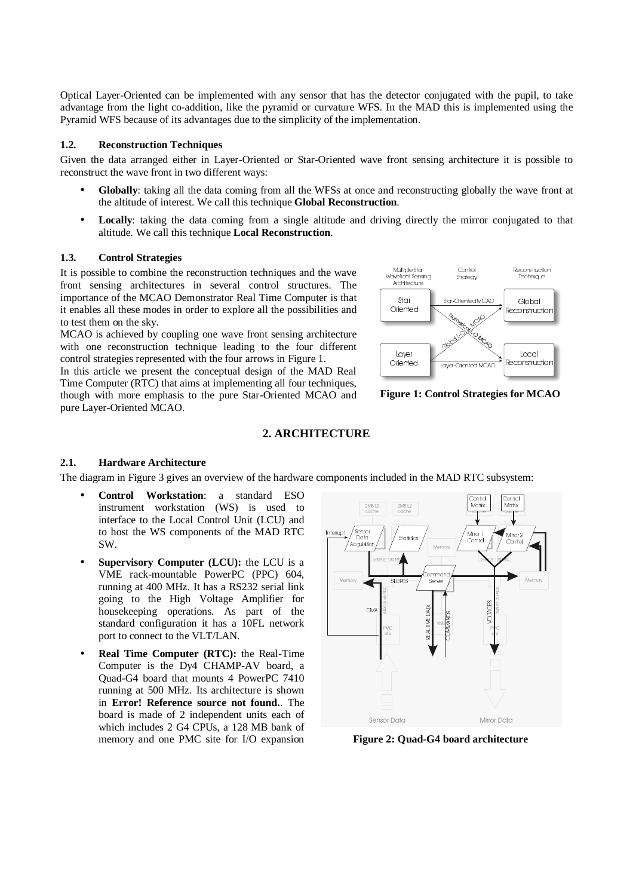Optical Layer-Oriented can be implemented with any sensor that has the detector conjugated with the pupil, to take advantage from the light co-addition, like the pyramid or curvature WFS. In the MAD this is implemented using the Pyramid WFS because of its advantages due to the simplicity of the implementation.

#### **1.2. Reconstruction Techniques**

Given the data arranged either in Layer-Oriented or Star-Oriented wave front sensing architecture it is possible to reconstruct the wave front in two different ways:

- **Globally**: taking all the data coming from all the WFSs at once and reconstructing globally the wave front at the altitude of interest. We call this technique **Global Reconstruction**.
- **Locally**: taking the data coming from a single altitude and driving directly the mirror conjugated to that altitude. We call this technique **Local Reconstruction**.

#### **1.3. Control Strategies**

It is possible to combine the reconstruction techniques and the wave front sensing architectures in several control structures. The importance of the MCAO Demonstrator Real Time Computer is that it enables all these modes in order to explore all the possibilities and to test them on the sky.

MCAO is achieved by coupling one wave front sensing architecture with one reconstruction technique leading to the four different control strategies represented with the four arrows in Figure 1.

In this article we present the conceptual design of the MAD Real Time Computer (RTC) that aims at implementing all four techniques, though with more emphasis to the pure Star-Oriented MCAO and pure Layer-Oriented MCAO.



**Figure 1: Control Strategies for MCAO**

#### **2. ARCHITECTURE**

#### **2.1. Hardware Architecture**

The diagram in Figure 3 gives an overview of the hardware components included in the MAD RTC subsystem:

- **Control Workstation**: a standard ESO instrument workstation (WS) is used to interface to the Local Control Unit (LCU) and to host the WS components of the MAD RTC SW.
- **Supervisory Computer (LCU):** the LCU is a VME rack-mountable PowerPC (PPC) 604, running at 400 MHz. It has a RS232 serial link going to the High Voltage Amplifier for housekeeping operations. As part of the standard configuration it has a 10FL network port to connect to the VLT/LAN.
- **Real Time Computer (RTC):** the Real-Time Computer is the Dy4 CHAMP-AV board, a Quad-G4 board that mounts 4 PowerPC 7410 running at 500 MHz. Its architecture is shown in **Error! Reference source not found.**. The board is made of 2 independent units each of which includes 2 G4 CPUs, a 128 MB bank of memory and one PMC site for I/O expansion



**Figure 2: Quad-G4 board architecture**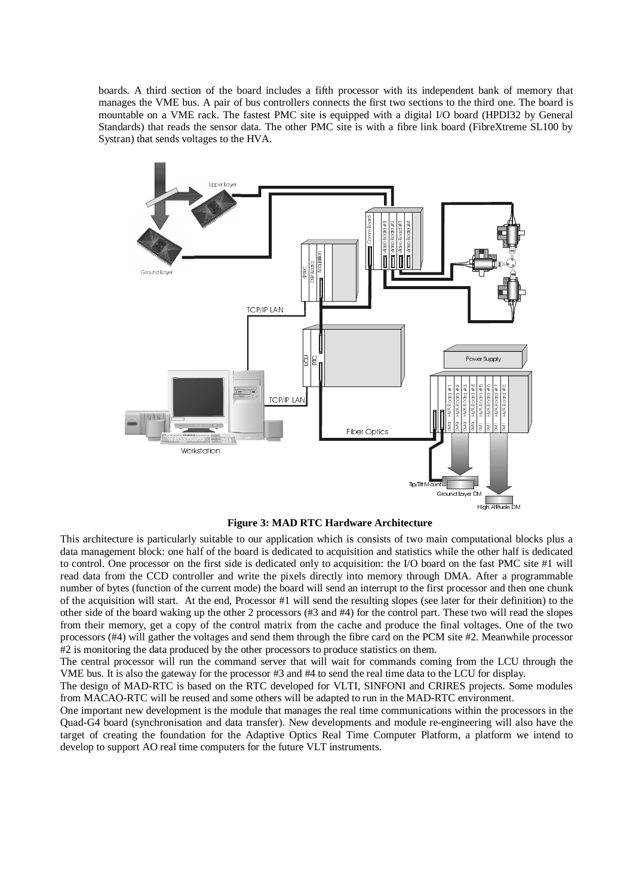boards. A third section of the board includes a fifth processor with its independent bank of memory that manages the VME bus. A pair of bus controllers connects the first two sections to the third one. The board is mountable on a VME rack. The fastest PMC site is equipped with a digital I/O board (HPDI32 by General Standards) that reads the sensor data. The other PMC site is with a fibre link board (FibreXtreme SL100 by Systran) that sends voltages to the HVA.



**Figure 3: MAD RTC Hardware Architecture** 

This architecture is particularly suitable to our application which is consists of two main computational blocks plus a data management block: one half of the board is dedicated to acquisition and statistics while the other half is dedicated to control. One processor on the first side is dedicated only to acquisition: the I/O board on the fast PMC site #1 will read data from the CCD controller and write the pixels directly into memory through DMA. After a programmable number of bytes (function of the current mode) the board will send an interrupt to the first processor and then one chunk of the acquisition will start. At the end, Processor #1 will send the resulting slopes (see later for their definition) to the other side of the board waking up the other 2 processors (#3 and #4) for the control part. These two will read the slopes from their memory, get a copy of the control matrix from the cache and produce the final voltages. One of the two processors (#4) will gather the voltages and send them through the fibre card on the PCM site #2. Meanwhile processor #2 is monitoring the data produced by the other processors to produce statistics on them.

The central processor will run the command server that will wait for commands coming from the LCU through the VME bus. It is also the gateway for the processor #3 and #4 to send the real time data to the LCU for display.

The design of MAD-RTC is based on the RTC developed for VLTI, SINFONI and CRIRES projects. Some modules from MACAO-RTC will be reused and some others will be adapted to run in the MAD-RTC environment.

One important new development is the module that manages the real time communications within the processors in the Quad-G4 board (synchronisation and data transfer). New developments and module re-engineering will also have the target of creating the foundation for the Adaptive Optics Real Time Computer Platform, a platform we intend to develop to support AO real time computers for the future VLT instruments.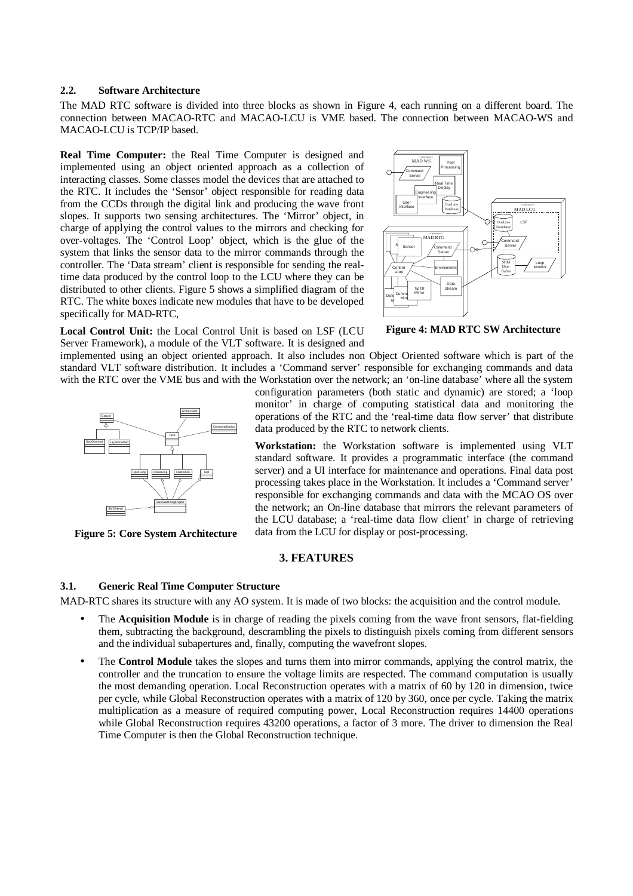#### **2.2. Software Architecture**

The MAD RTC software is divided into three blocks as shown in Figure 4, each running on a different board. The connection between MACAO-RTC and MACAO-LCU is VME based. The connection between MACAO-WS and MACAO-LCU is TCP/IP based.

**Real Time Computer:** the Real Time Computer is designed and implemented using an object oriented approach as a collection of interacting classes. Some classes model the devices that are attached to the RTC. It includes the 'Sensor' object responsible for reading data from the CCDs through the digital link and producing the wave front slopes. It supports two sensing architectures. The 'Mirror' object, in charge of applying the control values to the mirrors and checking for over-voltages. The 'Control Loop' object, which is the glue of the system that links the sensor data to the mirror commands through the controller. The 'Data stream' client is responsible for sending the realtime data produced by the control loop to the LCU where they can be distributed to other clients. Figure 5 shows a simplified diagram of the RTC. The white boxes indicate new modules that have to be developed specifically for MAD-RTC,



**Figure 4: MAD RTC SW Architecture** 

**Local Control Unit:** the Local Control Unit is based on LSF (LCU Server Framework), a module of the VLT software. It is designed and

implemented using an object oriented approach. It also includes non Object Oriented software which is part of the standard VLT software distribution. It includes a 'Command server' responsible for exchanging commands and data with the RTC over the VME bus and with the Workstation over the network; an 'on-line database' where all the system



**Figure 5: Core System Architecture** 

configuration parameters (both static and dynamic) are stored; a 'loop monitor' in charge of computing statistical data and monitoring the operations of the RTC and the 'real-time data flow server' that distribute data produced by the RTC to network clients.

**Workstation:** the Workstation software is implemented using VLT standard software. It provides a programmatic interface (the command server) and a UI interface for maintenance and operations. Final data post processing takes place in the Workstation. It includes a 'Command server' responsible for exchanging commands and data with the MCAO OS over the network; an On-line database that mirrors the relevant parameters of the LCU database; a 'real-time data flow client' in charge of retrieving data from the LCU for display or post-processing.

# **3. FEATURES**

#### **3.1. Generic Real Time Computer Structure**

MAD-RTC shares its structure with any AO system. It is made of two blocks: the acquisition and the control module.

- The **Acquisition Module** is in charge of reading the pixels coming from the wave front sensors, flat-fielding them, subtracting the background, descrambling the pixels to distinguish pixels coming from different sensors and the individual subapertures and, finally, computing the wavefront slopes.
- The **Control Module** takes the slopes and turns them into mirror commands, applying the control matrix, the controller and the truncation to ensure the voltage limits are respected. The command computation is usually the most demanding operation. Local Reconstruction operates with a matrix of 60 by 120 in dimension, twice per cycle, while Global Reconstruction operates with a matrix of 120 by 360, once per cycle. Taking the matrix multiplication as a measure of required computing power, Local Reconstruction requires 14400 operations while Global Reconstruction requires 43200 operations, a factor of 3 more. The driver to dimension the Real Time Computer is then the Global Reconstruction technique.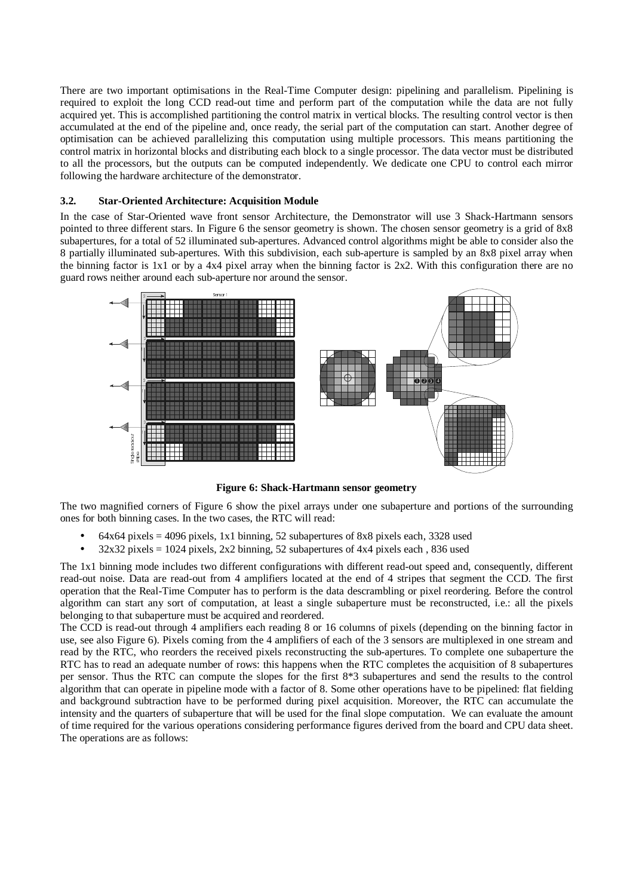There are two important optimisations in the Real-Time Computer design: pipelining and parallelism. Pipelining is required to exploit the long CCD read-out time and perform part of the computation while the data are not fully acquired yet. This is accomplished partitioning the control matrix in vertical blocks. The resulting control vector is then accumulated at the end of the pipeline and, once ready, the serial part of the computation can start. Another degree of optimisation can be achieved parallelizing this computation using multiple processors. This means partitioning the control matrix in horizontal blocks and distributing each block to a single processor. The data vector must be distributed to all the processors, but the outputs can be computed independently. We dedicate one CPU to control each mirror following the hardware architecture of the demonstrator.

## **3.2. Star-Oriented Architecture: Acquisition Module**

In the case of Star-Oriented wave front sensor Architecture, the Demonstrator will use 3 Shack-Hartmann sensors pointed to three different stars. In Figure 6 the sensor geometry is shown. The chosen sensor geometry is a grid of 8x8 subapertures, for a total of 52 illuminated sub-apertures. Advanced control algorithms might be able to consider also the 8 partially illuminated sub-apertures. With this subdivision, each sub-aperture is sampled by an 8x8 pixel array when the binning factor is 1x1 or by a 4x4 pixel array when the binning factor is  $2x2$ . With this configuration there are no guard rows neither around each sub-aperture nor around the sensor.



**Figure 6: Shack-Hartmann sensor geometry** 

The two magnified corners of Figure 6 show the pixel arrays under one subaperture and portions of the surrounding ones for both binning cases. In the two cases, the RTC will read:

- $64x64$  pixels = 4096 pixels, 1x1 binning, 52 subapertures of 8x8 pixels each, 3328 used
- $32x32$  pixels = 1024 pixels,  $2x2$  binning, 52 subapertures of  $4x4$  pixels each, 836 used

The 1x1 binning mode includes two different configurations with different read-out speed and, consequently, different read-out noise. Data are read-out from 4 amplifiers located at the end of 4 stripes that segment the CCD. The first operation that the Real-Time Computer has to perform is the data descrambling or pixel reordering. Before the control algorithm can start any sort of computation, at least a single subaperture must be reconstructed, i.e.: all the pixels belonging to that subaperture must be acquired and reordered.

The CCD is read-out through 4 amplifiers each reading 8 or 16 columns of pixels (depending on the binning factor in use, see also Figure 6). Pixels coming from the 4 amplifiers of each of the 3 sensors are multiplexed in one stream and read by the RTC, who reorders the received pixels reconstructing the sub-apertures. To complete one subaperture the RTC has to read an adequate number of rows: this happens when the RTC completes the acquisition of 8 subapertures per sensor. Thus the RTC can compute the slopes for the first 8\*3 subapertures and send the results to the control algorithm that can operate in pipeline mode with a factor of 8. Some other operations have to be pipelined: flat fielding and background subtraction have to be performed during pixel acquisition. Moreover, the RTC can accumulate the intensity and the quarters of subaperture that will be used for the final slope computation. We can evaluate the amount of time required for the various operations considering performance figures derived from the board and CPU data sheet. The operations are as follows: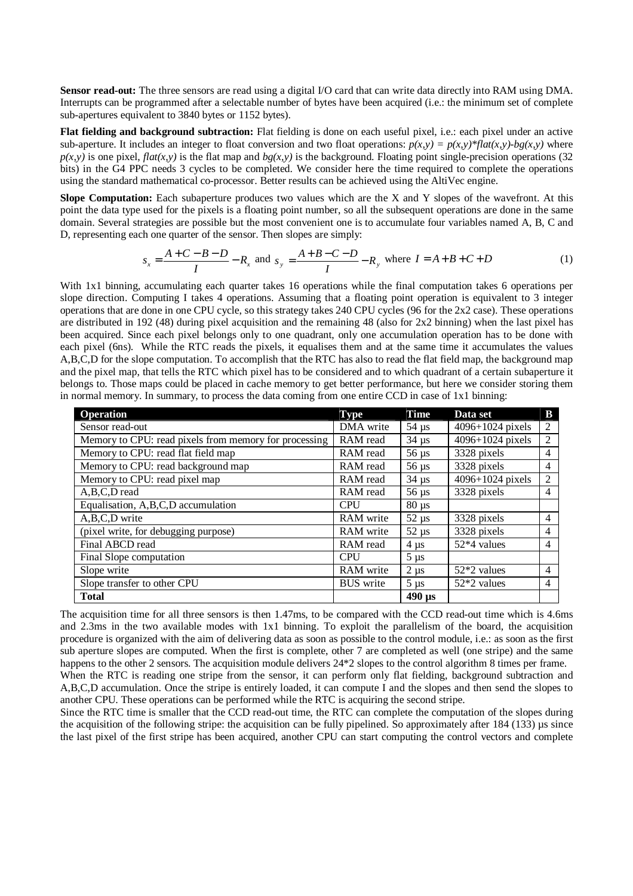**Sensor read-out:** The three sensors are read using a digital I/O card that can write data directly into RAM using DMA. Interrupts can be programmed after a selectable number of bytes have been acquired (i.e.: the minimum set of complete sub-apertures equivalent to 3840 bytes or 1152 bytes).

**Flat fielding and background subtraction:** Flat fielding is done on each useful pixel, i.e.: each pixel under an active sub-aperture. It includes an integer to float conversion and two float operations:  $p(x,y) = p(x,y)^* flat(x,y) - bg(x,y)$  where  $p(x,y)$  is one pixel, *flat(x,y)* is the flat map and  $bg(x,y)$  is the background. Floating point single-precision operations (32) bits) in the G4 PPC needs 3 cycles to be completed. We consider here the time required to complete the operations using the standard mathematical co-processor. Better results can be achieved using the AltiVec engine.

**Slope Computation:** Each subaperture produces two values which are the X and Y slopes of the wavefront. At this point the data type used for the pixels is a floating point number, so all the subsequent operations are done in the same domain. Several strategies are possible but the most convenient one is to accumulate four variables named A, B, C and D, representing each one quarter of the sensor. Then slopes are simply:

$$
s_x = \frac{A+C-B-D}{I} - R_x \text{ and } s_y = \frac{A+B-C-D}{I} - R_y \text{ where } I = A+B+C+D
$$
 (1)

With 1x1 binning, accumulating each quarter takes 16 operations while the final computation takes 6 operations per slope direction. Computing I takes 4 operations. Assuming that a floating point operation is equivalent to 3 integer operations that are done in one CPU cycle, so this strategy takes 240 CPU cycles (96 for the 2x2 case). These operations are distributed in 192 (48) during pixel acquisition and the remaining 48 (also for 2x2 binning) when the last pixel has been acquired. Since each pixel belongs only to one quadrant, only one accumulation operation has to be done with each pixel (6ns). While the RTC reads the pixels, it equalises them and at the same time it accumulates the values A,B,C,D for the slope computation. To accomplish that the RTC has also to read the flat field map, the background map and the pixel map, that tells the RTC which pixel has to be considered and to which quadrant of a certain subaperture it belongs to. Those maps could be placed in cache memory to get better performance, but here we consider storing them in normal memory. In summary, to process the data coming from one entire CCD in case of 1x1 binning:

| <b>Operation</b>                                      | <b>Type</b>      | <b>Time</b>               | Data set         | B |
|-------------------------------------------------------|------------------|---------------------------|------------------|---|
| Sensor read-out                                       | DMA write        | $54 \mu s$                | 4096+1024 pixels | 2 |
| Memory to CPU: read pixels from memory for processing | RAM read         | $34 \mu s$                | 4096+1024 pixels | 2 |
| Memory to CPU: read flat field map                    | RAM read         | $56 \,\mathrm{\mu s}$     | 3328 pixels      | 4 |
| Memory to CPU: read background map                    | RAM read         | $56 \mu s$                | 3328 pixels      | 4 |
| Memory to CPU: read pixel map                         | RAM read         | $34 \mu s$                | 4096+1024 pixels | 2 |
| A,B,C,D read                                          | RAM read         | $56 \,\mu s$              | 3328 pixels      | 4 |
| Equalisation, A,B,C,D accumulation                    | <b>CPU</b>       | $80 \mu s$                |                  |   |
| A,B,C,D write                                         | RAM write        | $52 \mu s$                | 3328 pixels      | 4 |
| (pixel write, for debugging purpose)                  | RAM write        | $52 \mu s$                | 3328 pixels      | 4 |
| Final ABCD read                                       | RAM read         | $4 \mu s$                 | 52*4 values      | 4 |
| Final Slope computation                               | <b>CPU</b>       | $5 \mu s$                 |                  |   |
| Slope write                                           | RAM write        | $2 \mu s$                 | $52*2$ values    | 4 |
| Slope transfer to other CPU                           | <b>BUS</b> write | $5 \mu s$                 | $52*2$ values    | 4 |
| <b>Total</b>                                          |                  | $490 \text{ }\mu\text{s}$ |                  |   |

The acquisition time for all three sensors is then 1.47ms, to be compared with the CCD read-out time which is 4.6ms and 2.3ms in the two available modes with 1x1 binning. To exploit the parallelism of the board, the acquisition procedure is organized with the aim of delivering data as soon as possible to the control module, i.e.: as soon as the first sub aperture slopes are computed. When the first is complete, other 7 are completed as well (one stripe) and the same happens to the other 2 sensors. The acquisition module delivers  $24*2$  slopes to the control algorithm 8 times per frame.

When the RTC is reading one stripe from the sensor, it can perform only flat fielding, background subtraction and A,B,C,D accumulation. Once the stripe is entirely loaded, it can compute I and the slopes and then send the slopes to another CPU. These operations can be performed while the RTC is acquiring the second stripe.

Since the RTC time is smaller that the CCD read-out time, the RTC can complete the computation of the slopes during the acquisition of the following stripe: the acquisition can be fully pipelined. So approximately after 184 (133) µs since the last pixel of the first stripe has been acquired, another CPU can start computing the control vectors and complete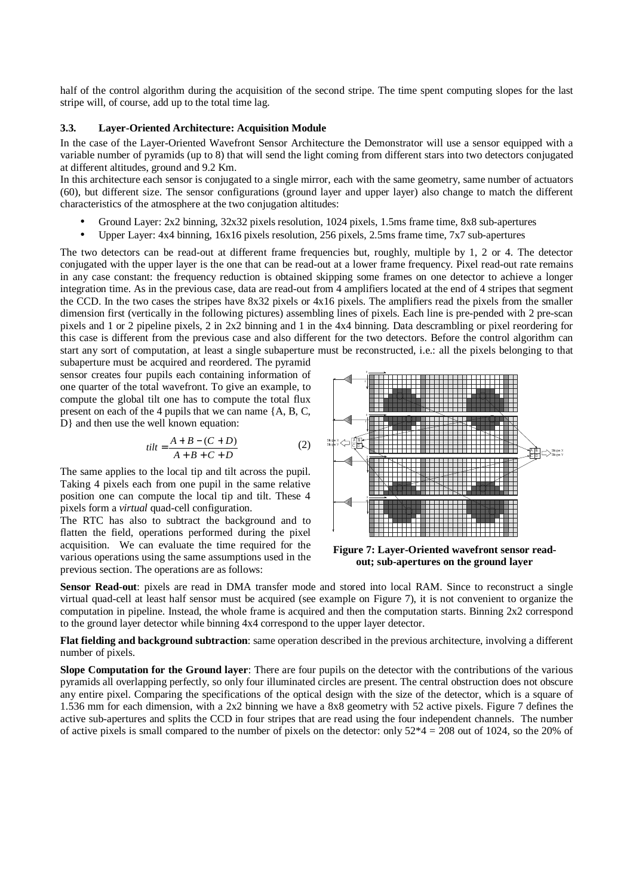half of the control algorithm during the acquisition of the second stripe. The time spent computing slopes for the last stripe will, of course, add up to the total time lag.

#### **3.3. Layer-Oriented Architecture: Acquisition Module**

In the case of the Layer-Oriented Wavefront Sensor Architecture the Demonstrator will use a sensor equipped with a variable number of pyramids (up to 8) that will send the light coming from different stars into two detectors conjugated at different altitudes, ground and 9.2 Km.

In this architecture each sensor is conjugated to a single mirror, each with the same geometry, same number of actuators (60), but different size. The sensor configurations (ground layer and upper layer) also change to match the different characteristics of the atmosphere at the two conjugation altitudes:

- Ground Layer: 2x2 binning, 32x32 pixels resolution, 1024 pixels, 1.5ms frame time, 8x8 sub-apertures
- Upper Layer: 4x4 binning, 16x16 pixels resolution, 256 pixels, 2.5ms frame time, 7x7 sub-apertures

The two detectors can be read-out at different frame frequencies but, roughly, multiple by 1, 2 or 4. The detector conjugated with the upper layer is the one that can be read-out at a lower frame frequency. Pixel read-out rate remains in any case constant: the frequency reduction is obtained skipping some frames on one detector to achieve a longer integration time. As in the previous case, data are read-out from 4 amplifiers located at the end of 4 stripes that segment the CCD. In the two cases the stripes have 8x32 pixels or 4x16 pixels. The amplifiers read the pixels from the smaller dimension first (vertically in the following pictures) assembling lines of pixels. Each line is pre-pended with 2 pre-scan pixels and 1 or 2 pipeline pixels, 2 in 2x2 binning and 1 in the 4x4 binning. Data descrambling or pixel reordering for this case is different from the previous case and also different for the two detectors. Before the control algorithm can start any sort of computation, at least a single subaperture must be reconstructed, i.e.: all the pixels belonging to that

subaperture must be acquired and reordered. The pyramid sensor creates four pupils each containing information of one quarter of the total wavefront. To give an example, to compute the global tilt one has to compute the total flux present on each of the 4 pupils that we can name {A, B, C, D} and then use the well known equation:

$$
tilt = \frac{A+B-(C+D)}{A+B+C+D}
$$
 (2)

The same applies to the local tip and tilt across the pupil. Taking 4 pixels each from one pupil in the same relative position one can compute the local tip and tilt. These 4 pixels form a *virtual* quad-cell configuration.

The RTC has also to subtract the background and to flatten the field, operations performed during the pixel acquisition. We can evaluate the time required for the various operations using the same assumptions used in the previous section. The operations are as follows:



**Figure 7: Layer-Oriented wavefront sensor readout; sub-apertures on the ground layer** 

**Sensor Read-out**: pixels are read in DMA transfer mode and stored into local RAM. Since to reconstruct a single virtual quad-cell at least half sensor must be acquired (see example on Figure 7), it is not convenient to organize the computation in pipeline. Instead, the whole frame is acquired and then the computation starts. Binning 2x2 correspond to the ground layer detector while binning 4x4 correspond to the upper layer detector.

**Flat fielding and background subtraction**: same operation described in the previous architecture, involving a different number of pixels.

**Slope Computation for the Ground layer**: There are four pupils on the detector with the contributions of the various pyramids all overlapping perfectly, so only four illuminated circles are present. The central obstruction does not obscure any entire pixel. Comparing the specifications of the optical design with the size of the detector, which is a square of 1.536 mm for each dimension, with a 2x2 binning we have a 8x8 geometry with 52 active pixels. Figure 7 defines the active sub-apertures and splits the CCD in four stripes that are read using the four independent channels. The number of active pixels is small compared to the number of pixels on the detector: only  $52*4 = 208$  out of 1024, so the 20% of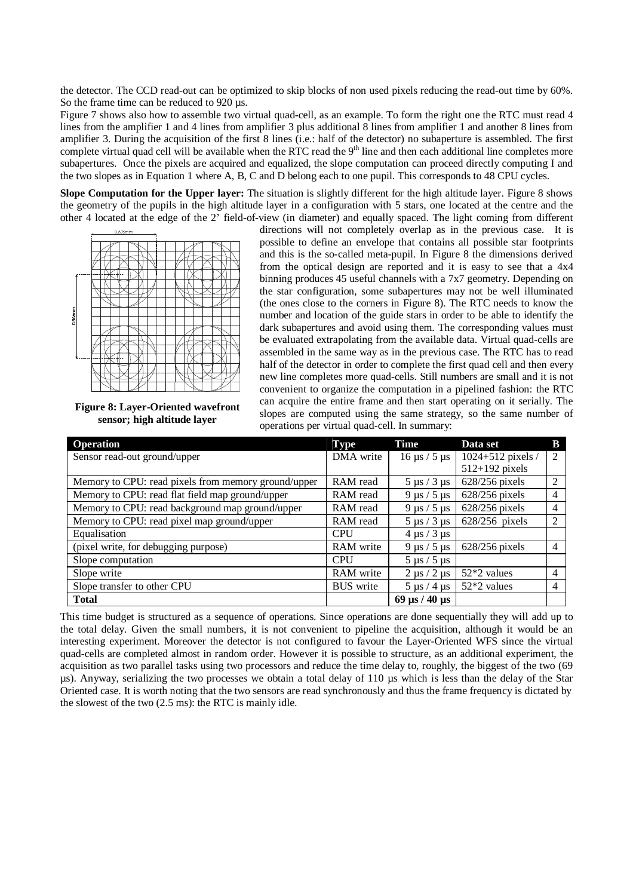the detector. The CCD read-out can be optimized to skip blocks of non used pixels reducing the read-out time by 60%. So the frame time can be reduced to 920  $\mu$ s.

Figure 7 shows also how to assemble two virtual quad-cell, as an example. To form the right one the RTC must read 4 lines from the amplifier 1 and 4 lines from amplifier 3 plus additional 8 lines from amplifier 1 and another 8 lines from amplifier 3. During the acquisition of the first 8 lines (i.e.: half of the detector) no subaperture is assembled. The first complete virtual quad cell will be available when the RTC read the  $9<sup>th</sup>$  line and then each additional line completes more subapertures. Once the pixels are acquired and equalized, the slope computation can proceed directly computing I and the two slopes as in Equation 1 where A, B, C and D belong each to one pupil. This corresponds to 48 CPU cycles.

**Slope Computation for the Upper layer:** The situation is slightly different for the high altitude layer. Figure 8 shows the geometry of the pupils in the high altitude layer in a configuration with 5 stars, one located at the centre and the other 4 located at the edge of the 2' field-of-view (in diameter) and equally spaced. The light coming from different



**Figure 8: Layer-Oriented wavefront sensor; high altitude layer** 

directions will not completely overlap as in the previous case. It is possible to define an envelope that contains all possible star footprints and this is the so-called meta-pupil. In Figure 8 the dimensions derived from the optical design are reported and it is easy to see that a 4x4 binning produces 45 useful channels with a 7x7 geometry. Depending on the star configuration, some subapertures may not be well illuminated (the ones close to the corners in Figure 8). The RTC needs to know the number and location of the guide stars in order to be able to identify the dark subapertures and avoid using them. The corresponding values must be evaluated extrapolating from the available data. Virtual quad-cells are assembled in the same way as in the previous case. The RTC has to read half of the detector in order to complete the first quad cell and then every new line completes more quad-cells. Still numbers are small and it is not convenient to organize the computation in a pipelined fashion: the RTC can acquire the entire frame and then start operating on it serially. The slopes are computed using the same strategy, so the same number of operations per virtual quad-cell. In summary:

| <b>Operation</b>                                    | <b>Type</b>      | <b>Time</b>                                 | Data set          | В |
|-----------------------------------------------------|------------------|---------------------------------------------|-------------------|---|
| Sensor read-out ground/upper                        | DMA write        | $16 \mu s / 5 \mu s$                        | 1024+512 pixels / | 2 |
|                                                     |                  |                                             | $512+192$ pixels  |   |
| Memory to CPU: read pixels from memory ground/upper | RAM read         | $5 \mu s / 3 \mu s$                         | 628/256 pixels    | 2 |
| Memory to CPU: read flat field map ground/upper     | RAM read         | $9 \mu s / 5 \mu s$                         | 628/256 pixels    | 4 |
| Memory to CPU: read background map ground/upper     | RAM read         | $9 \mu s / 5 \mu s$                         | 628/256 pixels    | 4 |
| Memory to CPU: read pixel map ground/upper          | RAM read         | $5 \mu s / 3 \mu s$                         | 628/256 pixels    | ↑ |
| Equalisation                                        | <b>CPU</b>       | $4 \mu s / 3 \mu s$                         |                   |   |
| (pixel write, for debugging purpose)                | RAM write        | $9 \mu s / 5 \mu s$                         | $628/256$ pixels  | 4 |
| Slope computation                                   | <b>CPU</b>       | $5 \mu s / 5 \mu s$                         |                   |   |
| Slope write                                         | RAM write        | $2 \mu s / 2 \mu s$                         | $52*2$ values     | 4 |
| Slope transfer to other CPU                         | <b>BUS</b> write | $5 \mu s / 4 \mu s$                         | $52*2$ values     | 4 |
| <b>Total</b>                                        |                  | $69 \text{ }\mu\text{s}$ / 40 $\mu\text{s}$ |                   |   |

This time budget is structured as a sequence of operations. Since operations are done sequentially they will add up to the total delay. Given the small numbers, it is not convenient to pipeline the acquisition, although it would be an interesting experiment. Moreover the detector is not configured to favour the Layer-Oriented WFS since the virtual quad-cells are completed almost in random order. However it is possible to structure, as an additional experiment, the acquisition as two parallel tasks using two processors and reduce the time delay to, roughly, the biggest of the two (69 µs). Anyway, serializing the two processes we obtain a total delay of 110 µs which is less than the delay of the Star Oriented case. It is worth noting that the two sensors are read synchronously and thus the frame frequency is dictated by the slowest of the two (2.5 ms): the RTC is mainly idle.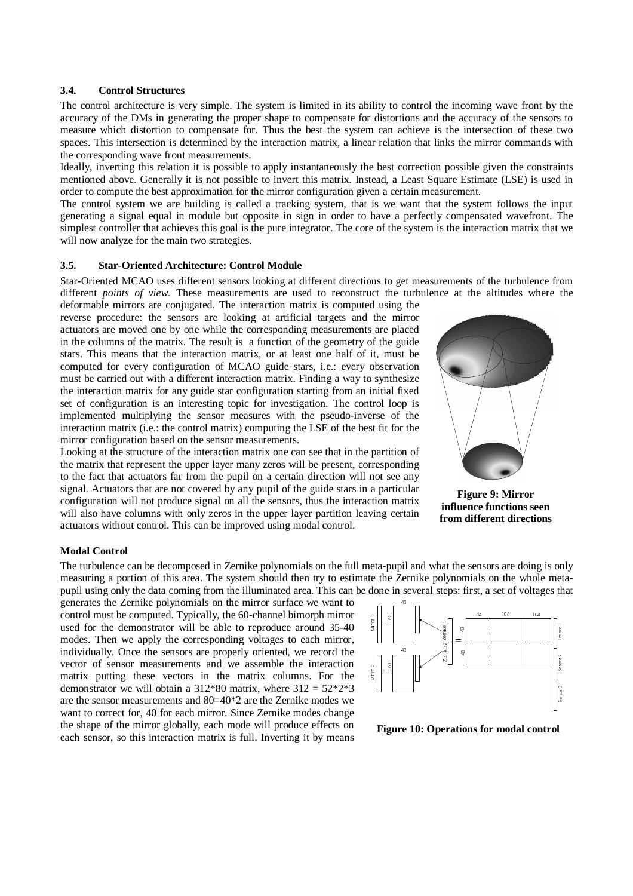#### **3.4. Control Structures**

The control architecture is very simple. The system is limited in its ability to control the incoming wave front by the accuracy of the DMs in generating the proper shape to compensate for distortions and the accuracy of the sensors to measure which distortion to compensate for. Thus the best the system can achieve is the intersection of these two spaces. This intersection is determined by the interaction matrix, a linear relation that links the mirror commands with the corresponding wave front measurements.

Ideally, inverting this relation it is possible to apply instantaneously the best correction possible given the constraints mentioned above. Generally it is not possible to invert this matrix. Instead, a Least Square Estimate (LSE) is used in order to compute the best approximation for the mirror configuration given a certain measurement.

The control system we are building is called a tracking system, that is we want that the system follows the input generating a signal equal in module but opposite in sign in order to have a perfectly compensated wavefront. The simplest controller that achieves this goal is the pure integrator. The core of the system is the interaction matrix that we will now analyze for the main two strategies.

#### **3.5. Star-Oriented Architecture: Control Module**

Star-Oriented MCAO uses different sensors looking at different directions to get measurements of the turbulence from different *points of view*. These measurements are used to reconstruct the turbulence at the altitudes where the deformable mirrors are conjugated. The interaction matrix is computed using the

reverse procedure: the sensors are looking at artificial targets and the mirror actuators are moved one by one while the corresponding measurements are placed in the columns of the matrix. The result is a function of the geometry of the guide stars. This means that the interaction matrix, or at least one half of it, must be computed for every configuration of MCAO guide stars, i.e.: every observation must be carried out with a different interaction matrix. Finding a way to synthesize the interaction matrix for any guide star configuration starting from an initial fixed set of configuration is an interesting topic for investigation. The control loop is implemented multiplying the sensor measures with the pseudo-inverse of the interaction matrix (i.e.: the control matrix) computing the LSE of the best fit for the mirror configuration based on the sensor measurements.

Looking at the structure of the interaction matrix one can see that in the partition of the matrix that represent the upper layer many zeros will be present, corresponding to the fact that actuators far from the pupil on a certain direction will not see any signal. Actuators that are not covered by any pupil of the guide stars in a particular configuration will not produce signal on all the sensors, thus the interaction matrix will also have columns with only zeros in the upper layer partition leaving certain actuators without control. This can be improved using modal control.



**Figure 9: Mirror influence functions seen from different directions** 

#### **Modal Control**

The turbulence can be decomposed in Zernike polynomials on the full meta-pupil and what the sensors are doing is only measuring a portion of this area. The system should then try to estimate the Zernike polynomials on the whole metapupil using only the data coming from the illuminated area. This can be done in several steps: first, a set of voltages that

generates the Zernike polynomials on the mirror surface we want to control must be computed. Typically, the 60-channel bimorph mirror used for the demonstrator will be able to reproduce around 35-40 modes. Then we apply the corresponding voltages to each mirror, individually. Once the sensors are properly oriented, we record the vector of sensor measurements and we assemble the interaction matrix putting these vectors in the matrix columns. For the demonstrator we will obtain a  $312*80$  matrix, where  $312 = 52*2*3$ are the sensor measurements and 80=40\*2 are the Zernike modes we want to correct for, 40 for each mirror. Since Zernike modes change the shape of the mirror globally, each mode will produce effects on each sensor, so this interaction matrix is full. Inverting it by means



**Figure 10: Operations for modal control**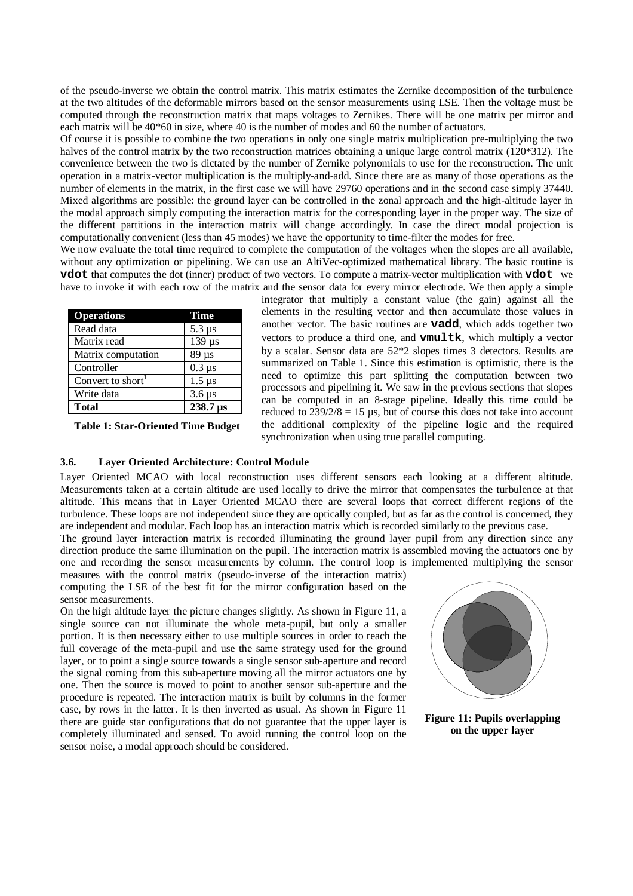of the pseudo-inverse we obtain the control matrix. This matrix estimates the Zernike decomposition of the turbulence at the two altitudes of the deformable mirrors based on the sensor measurements using LSE. Then the voltage must be computed through the reconstruction matrix that maps voltages to Zernikes. There will be one matrix per mirror and each matrix will be 40\*60 in size, where 40 is the number of modes and 60 the number of actuators.

Of course it is possible to combine the two operations in only one single matrix multiplication pre-multiplying the two halves of the control matrix by the two reconstruction matrices obtaining a unique large control matrix (120\*312). The convenience between the two is dictated by the number of Zernike polynomials to use for the reconstruction. The unit operation in a matrix-vector multiplication is the multiply-and-add. Since there are as many of those operations as the number of elements in the matrix, in the first case we will have 29760 operations and in the second case simply 37440. Mixed algorithms are possible: the ground layer can be controlled in the zonal approach and the high-altitude layer in the modal approach simply computing the interaction matrix for the corresponding layer in the proper way. The size of the different partitions in the interaction matrix will change accordingly. In case the direct modal projection is computationally convenient (less than 45 modes) we have the opportunity to time-filter the modes for free.

We now evaluate the total time required to complete the computation of the voltages when the slopes are all available, without any optimization or pipelining. We can use an AltiVec-optimized mathematical library. The basic routine is **vdot** that computes the dot (inner) product of two vectors. To compute a matrix-vector multiplication with **vdot** we have to invoke it with each row of the matrix and the sensor data for every mirror electrode. We then apply a simple

| <b>Operations</b>             | Time          |
|-------------------------------|---------------|
| Read data                     | $5.3 \,\mu s$ |
| Matrix read                   | $139 \mu s$   |
| Matrix computation            | $89 \mu s$    |
| Controller                    | $0.3 \mu s$   |
| Convert to short <sup>1</sup> | $1.5 \,\mu s$ |
| Write data                    | $3.6 \,\mu s$ |
| <b>Total</b>                  | 238.7 µs      |

**Table 1: Star-Oriented Time Budget** 

integrator that multiply a constant value (the gain) against all the elements in the resulting vector and then accumulate those values in another vector. The basic routines are **vadd**, which adds together two vectors to produce a third one, and **vmultk**, which multiply a vector by a scalar. Sensor data are 52\*2 slopes times 3 detectors. Results are summarized on Table 1. Since this estimation is optimistic, there is the need to optimize this part splitting the computation between two processors and pipelining it. We saw in the previous sections that slopes can be computed in an 8-stage pipeline. Ideally this time could be reduced to  $239/2/8 = 15$  µs, but of course this does not take into account the additional complexity of the pipeline logic and the required synchronization when using true parallel computing.

# **3.6. Layer Oriented Architecture: Control Module**

Layer Oriented MCAO with local reconstruction uses different sensors each looking at a different altitude. Measurements taken at a certain altitude are used locally to drive the mirror that compensates the turbulence at that altitude. This means that in Layer Oriented MCAO there are several loops that correct different regions of the turbulence. These loops are not independent since they are optically coupled, but as far as the control is concerned, they are independent and modular. Each loop has an interaction matrix which is recorded similarly to the previous case.

The ground layer interaction matrix is recorded illuminating the ground layer pupil from any direction since any direction produce the same illumination on the pupil. The interaction matrix is assembled moving the actuators one by one and recording the sensor measurements by column. The control loop is implemented multiplying the sensor measures with the control matrix (pseudo-inverse of the interaction matrix)

computing the LSE of the best fit for the mirror configuration based on the sensor measurements.

On the high altitude layer the picture changes slightly. As shown in Figure 11, a single source can not illuminate the whole meta-pupil, but only a smaller portion. It is then necessary either to use multiple sources in order to reach the full coverage of the meta-pupil and use the same strategy used for the ground layer, or to point a single source towards a single sensor sub-aperture and record the signal coming from this sub-aperture moving all the mirror actuators one by one. Then the source is moved to point to another sensor sub-aperture and the procedure is repeated. The interaction matrix is built by columns in the former case, by rows in the latter. It is then inverted as usual. As shown in Figure 11 there are guide star configurations that do not guarantee that the upper layer is completely illuminated and sensed. To avoid running the control loop on the sensor noise, a modal approach should be considered.



**Figure 11: Pupils overlapping on the upper layer**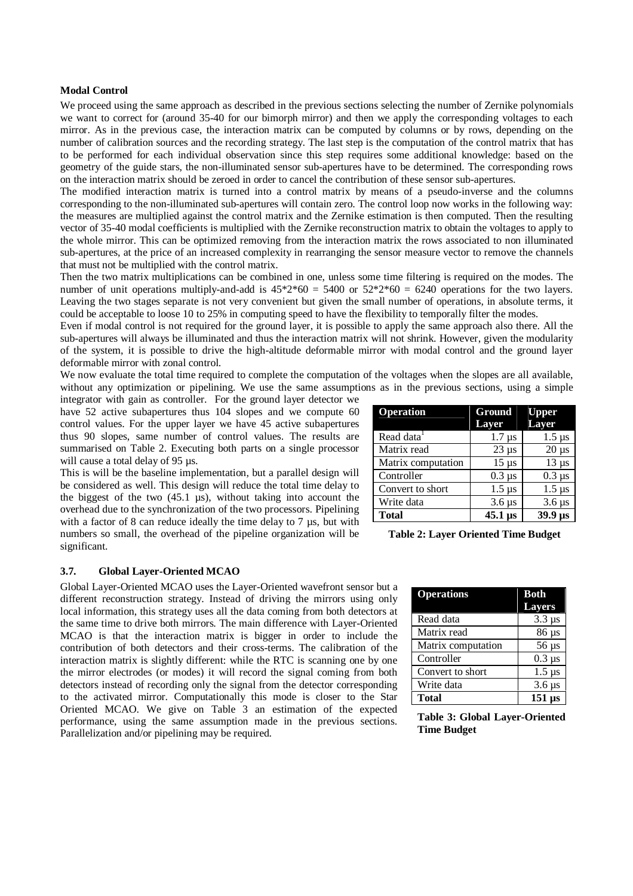## **Modal Control**

We proceed using the same approach as described in the previous sections selecting the number of Zernike polynomials we want to correct for (around 35-40 for our bimorph mirror) and then we apply the corresponding voltages to each mirror. As in the previous case, the interaction matrix can be computed by columns or by rows, depending on the number of calibration sources and the recording strategy. The last step is the computation of the control matrix that has to be performed for each individual observation since this step requires some additional knowledge: based on the geometry of the guide stars, the non-illuminated sensor sub-apertures have to be determined. The corresponding rows on the interaction matrix should be zeroed in order to cancel the contribution of these sensor sub-apertures.

The modified interaction matrix is turned into a control matrix by means of a pseudo-inverse and the columns corresponding to the non-illuminated sub-apertures will contain zero. The control loop now works in the following way: the measures are multiplied against the control matrix and the Zernike estimation is then computed. Then the resulting vector of 35-40 modal coefficients is multiplied with the Zernike reconstruction matrix to obtain the voltages to apply to the whole mirror. This can be optimized removing from the interaction matrix the rows associated to non illuminated sub-apertures, at the price of an increased complexity in rearranging the sensor measure vector to remove the channels that must not be multiplied with the control matrix.

Then the two matrix multiplications can be combined in one, unless some time filtering is required on the modes. The number of unit operations multiply-and-add is  $45*2*60 = 5400$  or  $52*2*60 = 6240$  operations for the two layers. Leaving the two stages separate is not very convenient but given the small number of operations, in absolute terms, it could be acceptable to loose 10 to 25% in computing speed to have the flexibility to temporally filter the modes.

Even if modal control is not required for the ground layer, it is possible to apply the same approach also there. All the sub-apertures will always be illuminated and thus the interaction matrix will not shrink. However, given the modularity of the system, it is possible to drive the high-altitude deformable mirror with modal control and the ground layer deformable mirror with zonal control.

We now evaluate the total time required to complete the computation of the voltages when the slopes are all available, without any optimization or pipelining. We use the same assumptions as in the previous sections, using a simple

integrator with gain as controller. For the ground layer detector we have 52 active subapertures thus 104 slopes and we compute 60 control values. For the upper layer we have 45 active subapertures thus 90 slopes, same number of control values. The results are summarised on Table 2. Executing both parts on a single processor will cause a total delay of 95 µs.

This is will be the baseline implementation, but a parallel design will be considered as well. This design will reduce the total time delay to the biggest of the two (45.1 µs), without taking into account the overhead due to the synchronization of the two processors. Pipelining with a factor of 8 can reduce ideally the time delay to 7  $\mu$ s, but with numbers so small, the overhead of the pipeline organization will be significant.

#### **Operation Ground Layer Upper Layer**  Read data  $\overline{1.7} \,\mu s$  1.5  $\mu s$ Matrix read  $\vert$  23 µs  $\vert$  20 µs Matrix computation  $\begin{bmatrix} 15 \text{ }\mu\text{s} \end{bmatrix}$  13  $\mu\text{s}$ Controller  $0.3 \,\mu s$   $0.3 \,\mu s$ Convert to short  $1.5 \text{ }\mu\text{s}$  1.5  $\mu\text{s}$ Write data  $3.6 \,\mu s$  3.6  $\mu s$ Total  $1.45.1 \,\mu s$  39.9  $\mu s$

**Table 2: Layer Oriented Time Budget** 

#### **3.7. Global Layer-Oriented MCAO**

Global Layer-Oriented MCAO uses the Layer-Oriented wavefront sensor but a different reconstruction strategy. Instead of driving the mirrors using only local information, this strategy uses all the data coming from both detectors at the same time to drive both mirrors. The main difference with Layer-Oriented MCAO is that the interaction matrix is bigger in order to include the contribution of both detectors and their cross-terms. The calibration of the interaction matrix is slightly different: while the RTC is scanning one by one the mirror electrodes (or modes) it will record the signal coming from both detectors instead of recording only the signal from the detector corresponding to the activated mirror. Computationally this mode is closer to the Star Oriented MCAO. We give on Table 3 an estimation of the expected performance, using the same assumption made in the previous sections. Parallelization and/or pipelining may be required.

| <b>Operations</b>  | <b>Both</b>            |
|--------------------|------------------------|
|                    | <b>Layers</b>          |
| Read data          | $3.3 \,\mu s$          |
| Matrix read        | $86 \mu s$             |
| Matrix computation | $56 \mu s$             |
| Controller         | $0.3 \mu s$            |
| Convert to short   | $1.5 \,\mu s$          |
| Write data         | $3.6 \,\mu s$          |
| <b>Total</b>       | $151 \,\mathrm{\mu s}$ |

**Table 3: Global Layer-Oriented Time Budget**